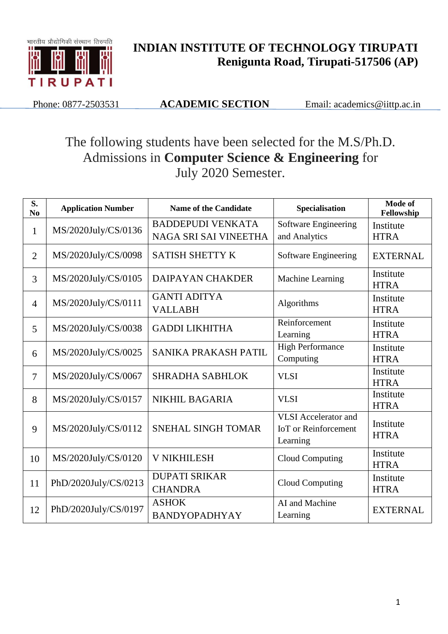

## **INDIAN INSTITUTE OF TECHNOLOGY TIRUPATI Renigunta Road, Tirupati-517506 (AP)**

Phone: 0877-2503531 **ACADEMIC SECTION** Email: academics@iittp.ac.in

## The following students have been selected for the M.S/Ph.D. Admissions in **Computer Science & Engineering** for July 2020 Semester.

| S.<br>N <sub>0</sub> | <b>Application Number</b> | <b>Name of the Candidate</b> | Specialisation                       | Mode of<br>Fellowship    |  |
|----------------------|---------------------------|------------------------------|--------------------------------------|--------------------------|--|
| $\mathbf{1}$         | MS/2020July/CS/0136       | <b>BADDEPUDI VENKATA</b>     | Software Engineering                 | Institute                |  |
|                      |                           | NAGA SRI SAI VINEETHA        | and Analytics                        | <b>HTRA</b>              |  |
| $\overline{2}$       | MS/2020July/CS/0098       | <b>SATISH SHETTY K</b>       | Software Engineering                 | <b>EXTERNAL</b>          |  |
| $\overline{3}$       | MS/2020July/CS/0105       | <b>DAIPAYAN CHAKDER</b>      | Machine Learning                     | Institute<br><b>HTRA</b> |  |
| $\overline{4}$       | MS/2020July/CS/0111       | <b>GANTI ADITYA</b>          | Algorithms                           | Institute                |  |
|                      |                           | <b>VALLABH</b>               |                                      | <b>HTRA</b>              |  |
| 5                    | MS/2020July/CS/0038       | <b>GADDI LIKHITHA</b>        | Reinforcement                        | Institute                |  |
|                      |                           |                              | Learning                             | <b>HTRA</b>              |  |
| 6                    | MS/2020July/CS/0025       | SANIKA PRAKASH PATIL         | <b>High Performance</b><br>Computing | Institute                |  |
|                      |                           |                              |                                      | <b>HTRA</b>              |  |
| 7                    | MS/2020July/CS/0067       | <b>SHRADHA SABHLOK</b>       | <b>VLSI</b>                          | Institute                |  |
|                      |                           |                              |                                      | <b>HTRA</b>              |  |
| 8                    | MS/2020July/CS/0157       | <b>NIKHIL BAGARIA</b>        | <b>VLSI</b>                          | Institute<br><b>HTRA</b> |  |
|                      |                           |                              | <b>VLSI</b> Accelerator and          |                          |  |
| 9                    | MS/2020July/CS/0112       | <b>SNEHAL SINGH TOMAR</b>    | <b>IoT</b> or Reinforcement          | Institute                |  |
|                      |                           |                              | Learning                             | <b>HTRA</b>              |  |
|                      |                           |                              |                                      | Institute                |  |
| 10                   | MS/2020July/CS/0120       | <b>V NIKHILESH</b>           | <b>Cloud Computing</b>               | <b>HTRA</b>              |  |
| 11                   | PhD/2020July/CS/0213      | <b>DUPATI SRIKAR</b>         | <b>Cloud Computing</b>               | Institute                |  |
|                      |                           | <b>CHANDRA</b>               |                                      | <b>HTRA</b>              |  |
|                      | PhD/2020July/CS/0197      | <b>ASHOK</b>                 | AI and Machine                       | <b>EXTERNAL</b>          |  |
| 12                   |                           | <b>BANDYOPADHYAY</b>         | Learning                             |                          |  |